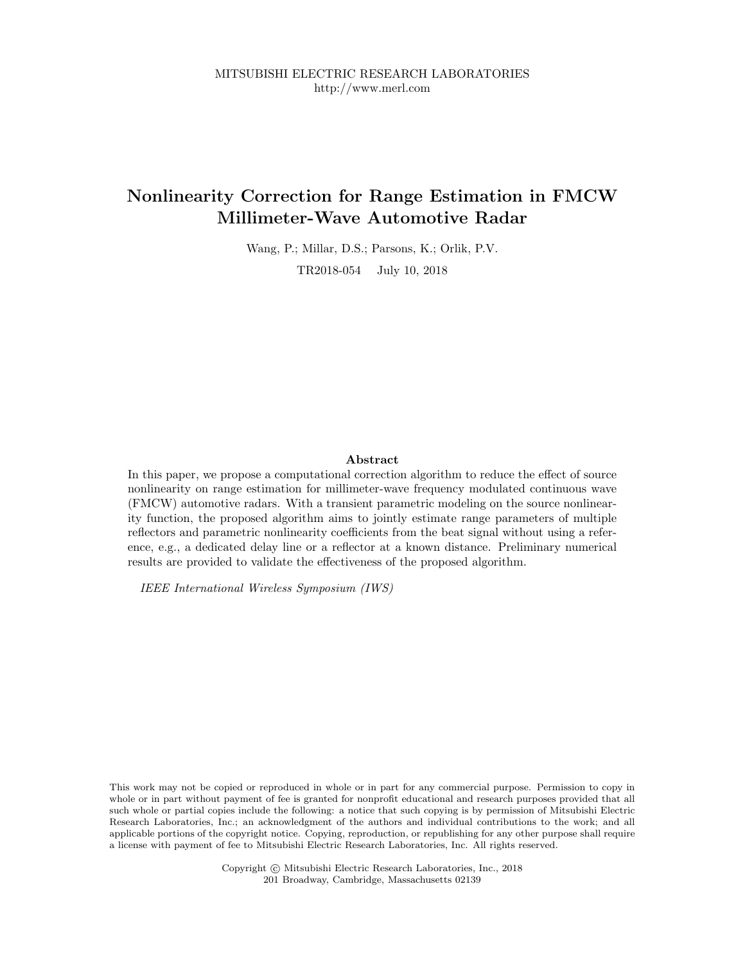# Nonlinearity Correction for Range Estimation in FMCW Millimeter-Wave Automotive Radar

Wang, P.; Millar, D.S.; Parsons, K.; Orlik, P.V.

TR2018-054 July 10, 2018

#### Abstract

In this paper, we propose a computational correction algorithm to reduce the effect of source nonlinearity on range estimation for millimeter-wave frequency modulated continuous wave (FMCW) automotive radars. With a transient parametric modeling on the source nonlinearity function, the proposed algorithm aims to jointly estimate range parameters of multiple reflectors and parametric nonlinearity coefficients from the beat signal without using a reference, e.g., a dedicated delay line or a reflector at a known distance. Preliminary numerical results are provided to validate the effectiveness of the proposed algorithm.

IEEE International Wireless Symposium (IWS)

This work may not be copied or reproduced in whole or in part for any commercial purpose. Permission to copy in whole or in part without payment of fee is granted for nonprofit educational and research purposes provided that all such whole or partial copies include the following: a notice that such copying is by permission of Mitsubishi Electric Research Laboratories, Inc.; an acknowledgment of the authors and individual contributions to the work; and all applicable portions of the copyright notice. Copying, reproduction, or republishing for any other purpose shall require a license with payment of fee to Mitsubishi Electric Research Laboratories, Inc. All rights reserved.

> Copyright © Mitsubishi Electric Research Laboratories, Inc., 2018 201 Broadway, Cambridge, Massachusetts 02139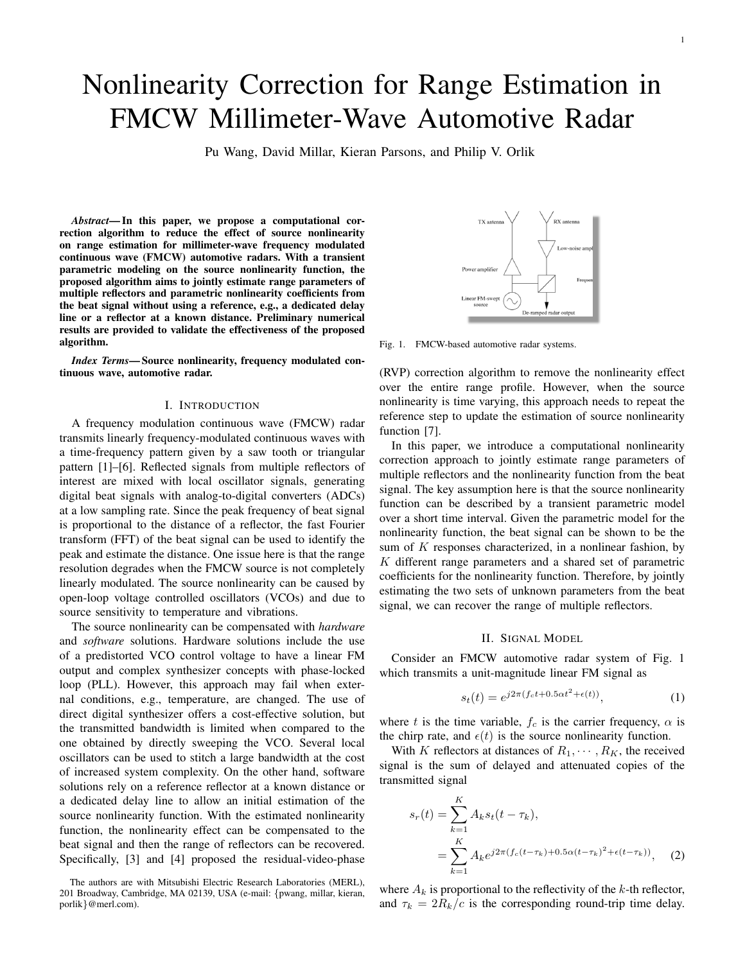Pu Wang, David Millar, Kieran Parsons, and Philip V. Orlik

*Abstract*— In this paper, we propose a computational correction algorithm to reduce the effect of source nonlinearity on range estimation for millimeter-wave frequency modulated continuous wave (FMCW) automotive radars. With a transient parametric modeling on the source nonlinearity function, the proposed algorithm aims to jointly estimate range parameters of multiple reflectors and parametric nonlinearity coefficients from the beat signal without using a reference, e.g., a dedicated delay line or a reflector at a known distance. Preliminary numerical results are provided to validate the effectiveness of the proposed algorithm.

*Index Terms*— Source nonlinearity, frequency modulated continuous wave, automotive radar.

#### I. INTRODUCTION

A frequency modulation continuous wave (FMCW) radar transmits linearly frequency-modulated continuous waves with a time-frequency pattern given by a saw tooth or triangular pattern [1]–[6]. Reflected signals from multiple reflectors of interest are mixed with local oscillator signals, generating digital beat signals with analog-to-digital converters (ADCs) at a low sampling rate. Since the peak frequency of beat signal is proportional to the distance of a reflector, the fast Fourier transform (FFT) of the beat signal can be used to identify the peak and estimate the distance. One issue here is that the range resolution degrades when the FMCW source is not completely linearly modulated. The source nonlinearity can be caused by open-loop voltage controlled oscillators (VCOs) and due to source sensitivity to temperature and vibrations.

The source nonlinearity can be compensated with *hardware* and *software* solutions. Hardware solutions include the use of a predistorted VCO control voltage to have a linear FM output and complex synthesizer concepts with phase-locked loop (PLL). However, this approach may fail when external conditions, e.g., temperature, are changed. The use of direct digital synthesizer offers a cost-effective solution, but the transmitted bandwidth is limited when compared to the one obtained by directly sweeping the VCO. Several local oscillators can be used to stitch a large bandwidth at the cost of increased system complexity. On the other hand, software solutions rely on a reference reflector at a known distance or a dedicated delay line to allow an initial estimation of the source nonlinearity function. With the estimated nonlinearity function, the nonlinearity effect can be compensated to the beat signal and then the range of reflectors can be recovered. Specifically, [3] and [4] proposed the residual-video-phase



Fig. 1. FMCW-based automotive radar systems.

(RVP) correction algorithm to remove the nonlinearity effect over the entire range profile. However, when the source nonlinearity is time varying, this approach needs to repeat the reference step to update the estimation of source nonlinearity function [7].

In this paper, we introduce a computational nonlinearity correction approach to jointly estimate range parameters of multiple reflectors and the nonlinearity function from the beat signal. The key assumption here is that the source nonlinearity function can be described by a transient parametric model over a short time interval. Given the parametric model for the nonlinearity function, the beat signal can be shown to be the sum of  $K$  responses characterized, in a nonlinear fashion, by  $K$  different range parameters and a shared set of parametric coefficients for the nonlinearity function. Therefore, by jointly estimating the two sets of unknown parameters from the beat signal, we can recover the range of multiple reflectors.

#### II. SIGNAL MODEL

Consider an FMCW automotive radar system of Fig. 1 which transmits a unit-magnitude linear FM signal as

$$
s_t(t) = e^{j2\pi (f_c t + 0.5\alpha t^2 + \epsilon(t))},
$$
\n(1)

where t is the time variable,  $f_c$  is the carrier frequency,  $\alpha$  is the chirp rate, and  $\epsilon(t)$  is the source nonlinearity function.

With K reflectors at distances of  $R_1, \dots, R_K$ , the received signal is the sum of delayed and attenuated copies of the transmitted signal

$$
s_r(t) = \sum_{k=1}^{K} A_k s_t(t - \tau_k),
$$
  
= 
$$
\sum_{k=1}^{K} A_k e^{j2\pi (f_c(t - \tau_k) + 0.5\alpha (t - \tau_k)^2 + \epsilon (t - \tau_k))},
$$
 (2)

where  $A_k$  is proportional to the reflectivity of the k-th reflector, and  $\tau_k = 2R_k/c$  is the corresponding round-trip time delay.

The authors are with Mitsubishi Electric Research Laboratories (MERL), 201 Broadway, Cambridge, MA 02139, USA (e-mail: {pwang, millar, kieran, porlik}@merl.com).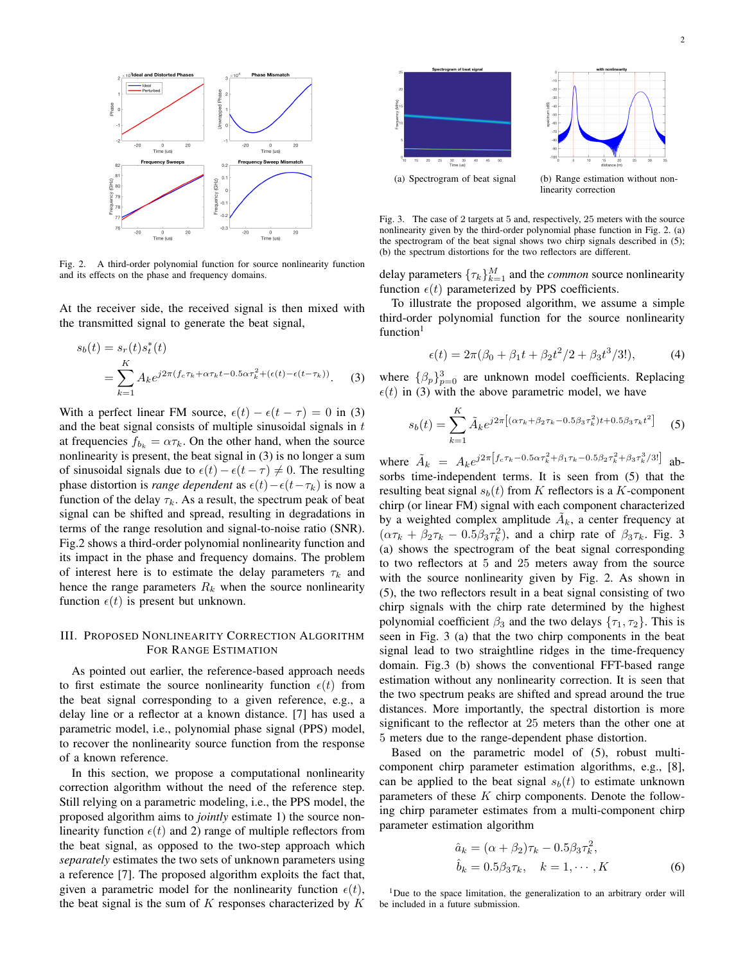

Fig. 2. A third-order polynomial function for source nonlinearity function and its effects on the phase and frequency domains.

At the receiver side, the received signal is then mixed with the transmitted signal to generate the beat signal,

$$
s_b(t) = s_r(t)s_t^*(t)
$$
  
= 
$$
\sum_{k=1}^K A_k e^{j2\pi (f_c \tau_k + \alpha \tau_k t - 0.5\alpha \tau_k^2 + (\epsilon(t) - \epsilon(t - \tau_k))}.
$$
 (3)

With a perfect linear FM source,  $\epsilon(t) - \epsilon(t - \tau) = 0$  in (3) and the beat signal consists of multiple sinusoidal signals in  $t$ at frequencies  $f_{b_k} = \alpha \tau_k$ . On the other hand, when the source nonlinearity is present, the beat signal in (3) is no longer a sum of sinusoidal signals due to  $\epsilon(t) - \epsilon(t - \tau) \neq 0$ . The resulting phase distortion is *range dependent* as  $\epsilon(t) - \epsilon(t-\tau_k)$  is now a function of the delay  $\tau_k$ . As a result, the spectrum peak of beat signal can be shifted and spread, resulting in degradations in terms of the range resolution and signal-to-noise ratio (SNR). Fig.2 shows a third-order polynomial nonlinearity function and its impact in the phase and frequency domains. The problem of interest here is to estimate the delay parameters  $\tau_k$  and hence the range parameters  $R_k$  when the source nonlinearity function  $\epsilon(t)$  is present but unknown.

### III. PROPOSED NONLINEARITY CORRECTION ALGORITHM FOR RANGE ESTIMATION

As pointed out earlier, the reference-based approach needs to first estimate the source nonlinearity function  $\epsilon(t)$  from the beat signal corresponding to a given reference, e.g., a delay line or a reflector at a known distance. [7] has used a parametric model, i.e., polynomial phase signal (PPS) model, to recover the nonlinearity source function from the response of a known reference.

In this section, we propose a computational nonlinearity correction algorithm without the need of the reference step. Still relying on a parametric modeling, i.e., the PPS model, the proposed algorithm aims to *jointly* estimate 1) the source nonlinearity function  $\epsilon(t)$  and 2) range of multiple reflectors from the beat signal, as opposed to the two-step approach which *separately* estimates the two sets of unknown parameters using a reference [7]. The proposed algorithm exploits the fact that, given a parametric model for the nonlinearity function  $\epsilon(t)$ , the beat signal is the sum of  $K$  responses characterized by  $K$ 



Fig. 3. The case of 2 targets at 5 and, respectively, 25 meters with the source nonlinearity given by the third-order polynomial phase function in Fig. 2. (a) the spectrogram of the beat signal shows two chirp signals described in (5); (b) the spectrum distortions for the two reflectors are different.

delay parameters  $\{\tau_k\}_{k=1}^M$  and the *common* source nonlinearity function  $\epsilon(t)$  parameterized by PPS coefficients.

To illustrate the proposed algorithm, we assume a simple third-order polynomial function for the source nonlinearity function<sup>1</sup>

$$
\epsilon(t) = 2\pi(\beta_0 + \beta_1 t + \beta_2 t^2 / 2 + \beta_3 t^3 / 3!), \tag{4}
$$

where  $\{\beta_p\}_{p=0}^3$  are unknown model coefficients. Replacing  $\epsilon(t)$  in (3) with the above parametric model, we have

$$
s_b(t) = \sum_{k=1}^{K} \tilde{A}_k e^{j2\pi \left[ (\alpha \tau_k + \beta_2 \tau_k - 0.5 \beta_3 \tau_k^2)t + 0.5 \beta_3 \tau_k t^2 \right]} \tag{5}
$$

where  $\tilde{A}_k = A_k e^{j2\pi \left[ f_c \tau_k - 0.5 \alpha \tau_k^2 + \beta_1 \tau_k - 0.5 \beta_2 \tau_k^2 + \beta_3 \tau_k^3 / 3! \right]}$  absorbs time-independent terms. It is seen from (5) that the resulting beat signal  $s<sub>b</sub>(t)$  from K reflectors is a K-component chirp (or linear FM) signal with each component characterized by a weighted complex amplitude  $\tilde{A}_k$ , a center frequency at  $(\alpha \tau_k + \beta_2 \tau_k - 0.5 \beta_3 \tau_k^2)$ , and a chirp rate of  $\beta_3 \tau_k$ . Fig. 3 (a) shows the spectrogram of the beat signal corresponding to two reflectors at 5 and 25 meters away from the source with the source nonlinearity given by Fig. 2. As shown in (5), the two reflectors result in a beat signal consisting of two chirp signals with the chirp rate determined by the highest polynomial coefficient  $\beta_3$  and the two delays  $\{\tau_1, \tau_2\}$ . This is seen in Fig. 3 (a) that the two chirp components in the beat signal lead to two straightline ridges in the time-frequency domain. Fig.3 (b) shows the conventional FFT-based range estimation without any nonlinearity correction. It is seen that the two spectrum peaks are shifted and spread around the true distances. More importantly, the spectral distortion is more significant to the reflector at 25 meters than the other one at 5 meters due to the range-dependent phase distortion.

Based on the parametric model of (5), robust multicomponent chirp parameter estimation algorithms, e.g., [8], can be applied to the beat signal  $s<sub>b</sub>(t)$  to estimate unknown parameters of these  $K$  chirp components. Denote the following chirp parameter estimates from a multi-component chirp parameter estimation algorithm

$$
\hat{a}_k = (\alpha + \beta_2)\tau_k - 0.5\beta_3 \tau_k^2, \n\hat{b}_k = 0.5\beta_3 \tau_k, \quad k = 1, \cdots, K
$$
\n(6)

<sup>1</sup>Due to the space limitation, the generalization to an arbitrary order will be included in a future submission.